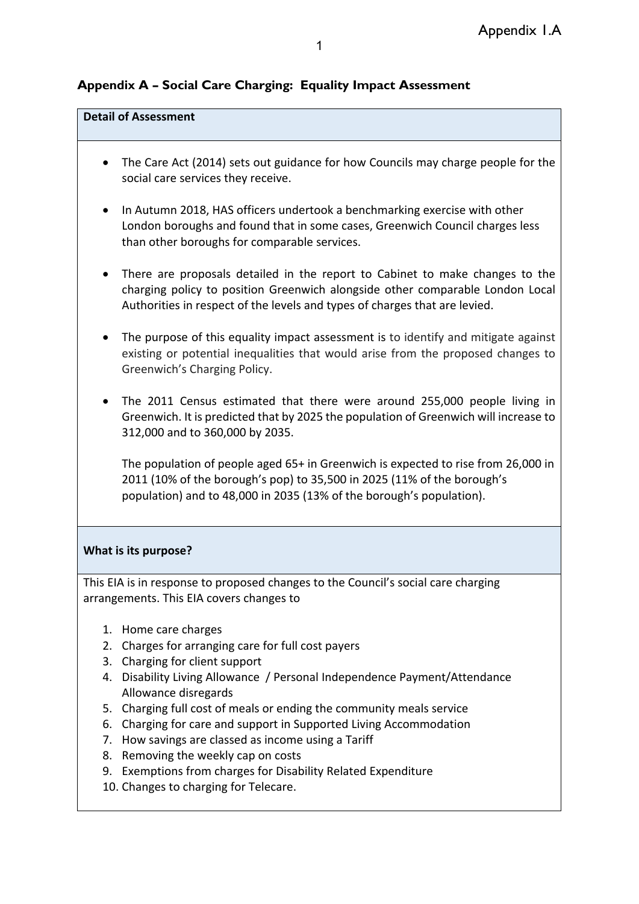# **Appendix A – Social Care Charging: Equality Impact Assessment**

### **Detail of Assessment**

- The Care Act (2014) sets out guidance for how Councils may charge people for the social care services they receive.
- In Autumn 2018, HAS officers undertook a benchmarking exercise with other London boroughs and found that in some cases, Greenwich Council charges less than other boroughs for comparable services.
- There are proposals detailed in the report to Cabinet to make changes to the charging policy to position Greenwich alongside other comparable London Local Authorities in respect of the levels and types of charges that are levied.
- The purpose of this equality impact assessment is to identify and mitigate against existing or potential inequalities that would arise from the proposed changes to Greenwich's Charging Policy.
- The 2011 Census estimated that there were around 255,000 people living in Greenwich. It is predicted that by 2025 the population of Greenwich will increase to 312,000 and to 360,000 by 2035.

The population of people aged 65+ in Greenwich is expected to rise from 26,000 in 2011 (10% of the borough's pop) to 35,500 in 2025 (11% of the borough's population) and to 48,000 in 2035 (13% of the borough's population).

### **What is its purpose?**

This EIA is in response to proposed changes to the Council's social care charging arrangements. This EIA covers changes to

- 1. Home care charges
- 2. Charges for arranging care for full cost payers
- 3. Charging for client support
- 4. Disability Living Allowance / Personal Independence Payment/Attendance Allowance disregards
- 5. Charging full cost of meals or ending the community meals service
- 6. Charging for care and support in Supported Living Accommodation
- 7. How savings are classed as income using a Tariff
- 8. Removing the weekly cap on costs
- 9. Exemptions from charges for Disability Related Expenditure
- 10. Changes to charging for Telecare.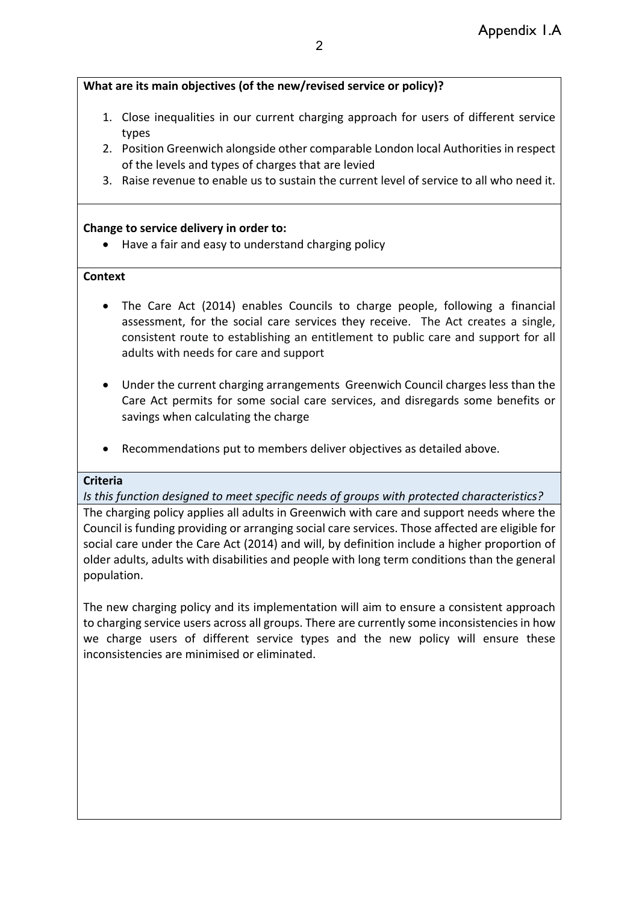## **What are its main objectives (of the new/revised service or policy)?**

- 1. Close inequalities in our current charging approach for users of different service types
- 2. Position Greenwich alongside other comparable London local Authorities in respect of the levels and types of charges that are levied
- 3. Raise revenue to enable us to sustain the current level of service to all who need it.

## **Change to service delivery in order to:**

• Have a fair and easy to understand charging policy

## **Context**

- The Care Act (2014) enables Councils to charge people, following a financial assessment, for the social care services they receive. The Act creates a single, consistent route to establishing an entitlement to public care and support for all adults with needs for care and support
- Under the current charging arrangements Greenwich Council charges less than the Care Act permits for some social care services, and disregards some benefits or savings when calculating the charge
- Recommendations put to members deliver objectives as detailed above.

## **Criteria**

*Is this function designed to meet specific needs of groups with protected characteristics?*

The charging policy applies all adults in Greenwich with care and support needs where the Council is funding providing or arranging social care services. Those affected are eligible for social care under the Care Act (2014) and will, by definition include a higher proportion of older adults, adults with disabilities and people with long term conditions than the general population.

The new charging policy and its implementation will aim to ensure a consistent approach to charging service users across all groups. There are currently some inconsistencies in how we charge users of different service types and the new policy will ensure these inconsistencies are minimised or eliminated.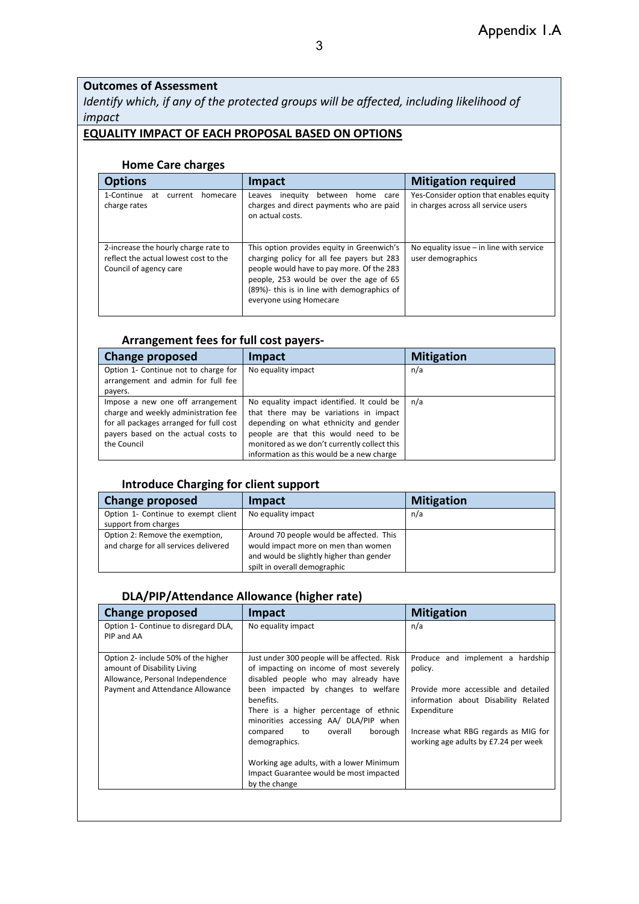## **Outcomes of Assessment**

*Identify which, if any of the protected groups will be affected, including likelihood of impact*

### **EQUALITY IMPACT OF EACH PROPOSAL BASED ON OPTIONS**

#### **Home Care charges**

| <b>Options</b>                                                                                          | Impact                                                                                                                                                                                                                                                     | <b>Mitigation required</b>                                                     |
|---------------------------------------------------------------------------------------------------------|------------------------------------------------------------------------------------------------------------------------------------------------------------------------------------------------------------------------------------------------------------|--------------------------------------------------------------------------------|
| 1-Continue<br>at<br>current<br>homecare<br>charge rates                                                 | inequity<br>between<br>home<br>Leaves<br>care<br>charges and direct payments who are paid<br>on actual costs.                                                                                                                                              | Yes-Consider option that enables equity<br>in charges across all service users |
| 2-increase the hourly charge rate to<br>reflect the actual lowest cost to the<br>Council of agency care | This option provides equity in Greenwich's<br>charging policy for all fee payers but 283<br>people would have to pay more. Of the 283<br>people, 253 would be over the age of 65<br>(89%)- this is in line with demographics of<br>everyone using Homecare | No equality issue - in line with service<br>user demographics                  |

#### **Arrangement fees for full cost payers-**

| <b>Change proposed</b>                                                                                                                                                    | Impact                                                                                                                                                                                                                                                               | <b>Mitigation</b> |
|---------------------------------------------------------------------------------------------------------------------------------------------------------------------------|----------------------------------------------------------------------------------------------------------------------------------------------------------------------------------------------------------------------------------------------------------------------|-------------------|
| Option 1- Continue not to charge for<br>arrangement and admin for full fee<br>payers.                                                                                     | No equality impact                                                                                                                                                                                                                                                   | n/a               |
| Impose a new one off arrangement<br>charge and weekly administration fee<br>for all packages arranged for full cost<br>payers based on the actual costs to<br>the Council | No equality impact identified. It could be<br>that there may be variations in impact<br>depending on what ethnicity and gender<br>people are that this would need to be<br>monitored as we don't currently collect this<br>information as this would be a new charge | n/a               |

## **Introduce Charging for client support**

| <b>Change proposed</b>                                                   | <b>Impact</b>                                                                                                                                               | <b>Mitigation</b> |
|--------------------------------------------------------------------------|-------------------------------------------------------------------------------------------------------------------------------------------------------------|-------------------|
| Option 1- Continue to exempt client<br>support from charges              | No equality impact                                                                                                                                          | n/a               |
| Option 2: Remove the exemption,<br>and charge for all services delivered | Around 70 people would be affected. This<br>would impact more on men than women<br>and would be slightly higher than gender<br>spilt in overall demographic |                   |

#### **DLA/PIP/Attendance Allowance (higher rate)**

| <b>Change proposed</b>                                                                                                                     | <b>Impact</b>                                                                                                                                                                                                                                                                                                                      | <b>Mitigation</b>                                                                                                                                                                                                          |
|--------------------------------------------------------------------------------------------------------------------------------------------|------------------------------------------------------------------------------------------------------------------------------------------------------------------------------------------------------------------------------------------------------------------------------------------------------------------------------------|----------------------------------------------------------------------------------------------------------------------------------------------------------------------------------------------------------------------------|
| Option 1- Continue to disregard DLA,<br>PIP and AA                                                                                         | No equality impact                                                                                                                                                                                                                                                                                                                 | n/a                                                                                                                                                                                                                        |
| Option 2- include 50% of the higher<br>amount of Disability Living<br>Allowance, Personal Independence<br>Payment and Attendance Allowance | Just under 300 people will be affected. Risk<br>of impacting on income of most severely<br>disabled people who may already have<br>been impacted by changes to welfare<br>benefits.<br>There is a higher percentage of ethnic<br>minorities accessing AA/ DLA/PIP when<br>overall<br>borough<br>compared<br>to to<br>demographics. | Produce and implement a hardship<br>policy.<br>Provide more accessible and detailed<br>information about Disability Related<br>Expenditure<br>Increase what RBG regards as MIG for<br>working age adults by £7.24 per week |
|                                                                                                                                            | Working age adults, with a lower Minimum<br>Impact Guarantee would be most impacted<br>by the change                                                                                                                                                                                                                               |                                                                                                                                                                                                                            |
|                                                                                                                                            |                                                                                                                                                                                                                                                                                                                                    |                                                                                                                                                                                                                            |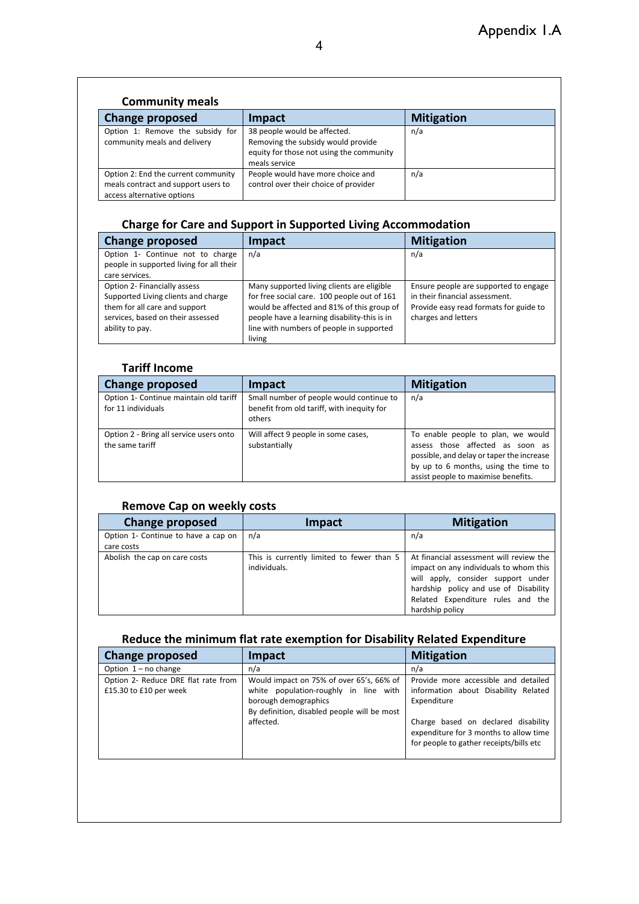### **Community meals**

| <b>Change proposed</b>                                                                                   | <b>Impact</b>                                                                                                                   | <b>Mitigation</b> |
|----------------------------------------------------------------------------------------------------------|---------------------------------------------------------------------------------------------------------------------------------|-------------------|
| Option 1: Remove the subsidy for<br>community meals and delivery                                         | 38 people would be affected.<br>Removing the subsidy would provide<br>equity for those not using the community<br>meals service | n/a               |
| Option 2: End the current community<br>meals contract and support users to<br>access alternative options | People would have more choice and<br>control over their choice of provider                                                      | n/a               |

# **Charge for Care and Support in Supported Living Accommodation**

| Change proposed                                                                                                                                              | Impact                                                                                                                                                                                                                                        | <b>Mitigation</b>                                                                                                                        |
|--------------------------------------------------------------------------------------------------------------------------------------------------------------|-----------------------------------------------------------------------------------------------------------------------------------------------------------------------------------------------------------------------------------------------|------------------------------------------------------------------------------------------------------------------------------------------|
| Option 1- Continue not to charge<br>people in supported living for all their<br>care services.                                                               | n/a                                                                                                                                                                                                                                           | n/a                                                                                                                                      |
| Option 2- Financially assess<br>Supported Living clients and charge<br>them for all care and support<br>services, based on their assessed<br>ability to pay. | Many supported living clients are eligible<br>for free social care. 100 people out of 161<br>would be affected and 81% of this group of<br>people have a learning disability-this is in<br>line with numbers of people in supported<br>living | Ensure people are supported to engage<br>in their financial assessment.<br>Provide easy read formats for guide to<br>charges and letters |

### **Tariff Income**

| <b>Change proposed</b>                                       | Impact                                                                                           | <b>Mitigation</b>                                                                                                                                                                                  |
|--------------------------------------------------------------|--------------------------------------------------------------------------------------------------|----------------------------------------------------------------------------------------------------------------------------------------------------------------------------------------------------|
| Option 1- Continue maintain old tariff<br>for 11 individuals | Small number of people would continue to<br>benefit from old tariff, with inequity for<br>others | n/a                                                                                                                                                                                                |
| Option 2 - Bring all service users onto<br>the same tariff   | Will affect 9 people in some cases,<br>substantially                                             | To enable people to plan, we would<br>assess those affected as soon as<br>possible, and delay or taper the increase<br>by up to 6 months, using the time to<br>assist people to maximise benefits. |

## **Remove Cap on weekly costs**

| <b>Change proposed</b>              | Impact                                    | <b>Mitigation</b>                       |
|-------------------------------------|-------------------------------------------|-----------------------------------------|
| Option 1- Continue to have a cap on | n/a                                       | n/a                                     |
| care costs                          |                                           |                                         |
| Abolish the cap on care costs       | This is currently limited to fewer than 5 | At financial assessment will review the |
|                                     | individuals.                              | impact on any individuals to whom this  |
|                                     |                                           | will apply, consider support under      |
|                                     |                                           | hardship policy and use of Disability   |
|                                     |                                           | Related Expenditure rules and the       |
|                                     |                                           | hardship policy                         |

### **Reduce the minimum flat rate exemption for Disability Related Expenditure**

| <b>Change proposed</b>                                        | <b>Impact</b>                                                                                                                                                         | <b>Mitigation</b>                                                                                                                                                                                                       |
|---------------------------------------------------------------|-----------------------------------------------------------------------------------------------------------------------------------------------------------------------|-------------------------------------------------------------------------------------------------------------------------------------------------------------------------------------------------------------------------|
| Option $1 - no$ change                                        | n/a                                                                                                                                                                   | n/a                                                                                                                                                                                                                     |
| Option 2- Reduce DRE flat rate from<br>£15.30 to £10 per week | Would impact on 75% of over 65's, 66% of<br>white population-roughly in line with<br>borough demographics<br>By definition, disabled people will be most<br>affected. | Provide more accessible and detailed<br>information about Disability Related<br>Expenditure<br>Charge based on declared disability<br>expenditure for 3 months to allow time<br>for people to gather receipts/bills etc |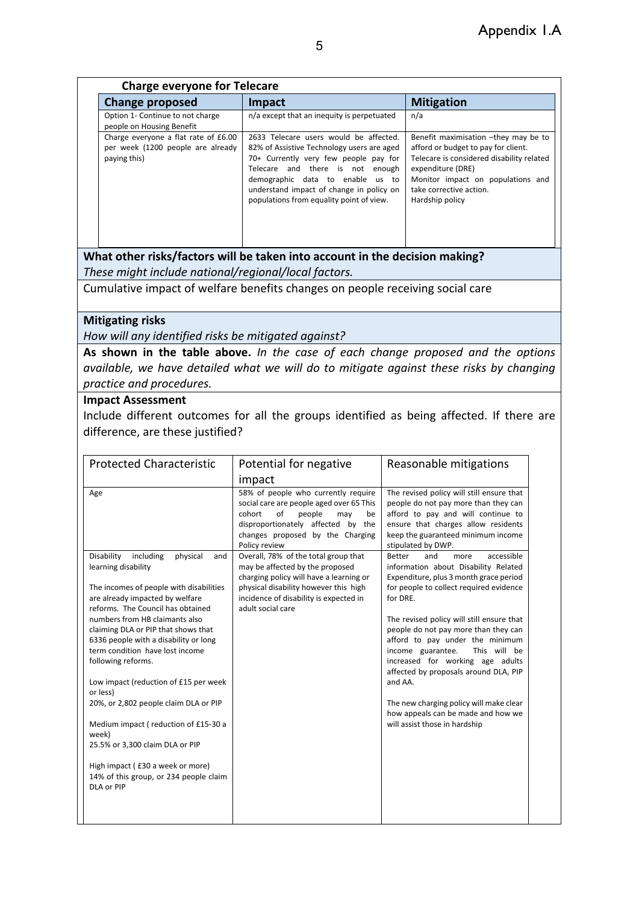| <b>Charge everyone for Telecare</b>                                                       |                                                                                                                                                                                                                                                                                               |                                                                                                                                                                                                                                  |
|-------------------------------------------------------------------------------------------|-----------------------------------------------------------------------------------------------------------------------------------------------------------------------------------------------------------------------------------------------------------------------------------------------|----------------------------------------------------------------------------------------------------------------------------------------------------------------------------------------------------------------------------------|
| <b>Change proposed</b>                                                                    | <b>Impact</b>                                                                                                                                                                                                                                                                                 | <b>Mitigation</b>                                                                                                                                                                                                                |
| Option 1- Continue to not charge<br>people on Housing Benefit                             | n/a except that an inequity is perpetuated                                                                                                                                                                                                                                                    | n/a                                                                                                                                                                                                                              |
| Charge everyone a flat rate of £6.00<br>per week (1200 people are already<br>paying this) | 2633 Telecare users would be affected.<br>82% of Assistive Technology users are aged<br>70+ Currently very few people pay for<br>Telecare and there is not enough<br>demographic data to enable us to<br>understand impact of change in policy on<br>populations from equality point of view. | Benefit maximisation -they may be to<br>afford or budget to pay for client.<br>Telecare is considered disability related<br>expenditure (DRE)<br>Monitor impact on populations and<br>take corrective action.<br>Hardship policy |

**What other risks/factors will be taken into account in the decision making?** *These might include national/regional/local factors.*

Cumulative impact of welfare benefits changes on people receiving social care

#### **Mitigating risks**

*How will any identified risks be mitigated against?* 

**As shown in the table above.** *In the case of each change proposed and the options available, we have detailed what we will do to mitigate against these risks by changing practice and procedures.*

#### **Impact Assessment**

Include different outcomes for all the groups identified as being affected. If there are difference, are these justified?

| <b>Protected Characteristic</b>                                                                                                                                                                                                                                                                                                                                                                                                                                                                                                                                                                                                               | Potential for negative                                                                                                                                                                                                     | Reasonable mitigations                                                                                                                                                                                                                                                                                                                                                                                                                                                                                                                                     |
|-----------------------------------------------------------------------------------------------------------------------------------------------------------------------------------------------------------------------------------------------------------------------------------------------------------------------------------------------------------------------------------------------------------------------------------------------------------------------------------------------------------------------------------------------------------------------------------------------------------------------------------------------|----------------------------------------------------------------------------------------------------------------------------------------------------------------------------------------------------------------------------|------------------------------------------------------------------------------------------------------------------------------------------------------------------------------------------------------------------------------------------------------------------------------------------------------------------------------------------------------------------------------------------------------------------------------------------------------------------------------------------------------------------------------------------------------------|
|                                                                                                                                                                                                                                                                                                                                                                                                                                                                                                                                                                                                                                               | impact                                                                                                                                                                                                                     |                                                                                                                                                                                                                                                                                                                                                                                                                                                                                                                                                            |
| Age                                                                                                                                                                                                                                                                                                                                                                                                                                                                                                                                                                                                                                           | 58% of people who currently require<br>social care are people aged over 65 This<br>cohort<br>of<br>people<br>may<br>be<br>disproportionately affected by the<br>changes proposed by the Charging<br>Policy review          | The revised policy will still ensure that<br>people do not pay more than they can<br>afford to pay and will continue to<br>ensure that charges allow residents<br>keep the guaranteed minimum income<br>stipulated by DWP.                                                                                                                                                                                                                                                                                                                                 |
| Disability<br>including<br>physical<br>and<br>learning disability<br>The incomes of people with disabilities<br>are already impacted by welfare<br>reforms. The Council has obtained<br>numbers from HB claimants also<br>claiming DLA or PIP that shows that<br>6336 people with a disability or long<br>term condition have lost income<br>following reforms.<br>Low impact (reduction of £15 per week<br>or less)<br>20%, or 2,802 people claim DLA or PIP<br>Medium impact (reduction of £15-30 a<br>week)<br>25.5% or 3,300 claim DLA or PIP<br>High impact (£30 a week or more)<br>14% of this group, or 234 people claim<br>DLA or PIP | Overall, 78% of the total group that<br>may be affected by the proposed<br>charging policy will have a learning or<br>physical disability however this high<br>incidence of disability is expected in<br>adult social care | <b>Better</b><br>accessible<br>and<br>more<br>information about Disability Related<br>Expenditure, plus 3 month grace period<br>for people to collect required evidence<br>for DRE.<br>The revised policy will still ensure that<br>people do not pay more than they can<br>afford to pay under the minimum<br>income guarantee.<br>This will be<br>increased for working age adults<br>affected by proposals around DLA, PIP<br>and AA.<br>The new charging policy will make clear<br>how appeals can be made and how we<br>will assist those in hardship |